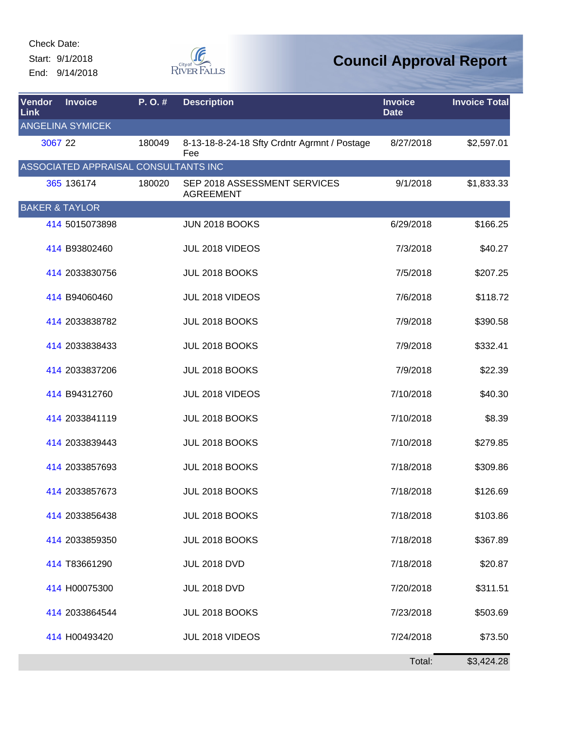Check Date: Start: 9/1/2018

End: 9/14/2018



| Vendor<br>Link            | <b>Invoice</b>                       | P.O.#  | <b>Description</b>                                  | <b>Invoice</b><br><b>Date</b> | <b>Invoice Total</b> |
|---------------------------|--------------------------------------|--------|-----------------------------------------------------|-------------------------------|----------------------|
|                           | <b>ANGELINA SYMICEK</b>              |        |                                                     |                               |                      |
| 3067 22                   |                                      | 180049 | 8-13-18-8-24-18 Sfty Crdntr Agrmnt / Postage<br>Fee | 8/27/2018                     | \$2,597.01           |
|                           | ASSOCIATED APPRAISAL CONSULTANTS INC |        |                                                     |                               |                      |
|                           | 365 136174                           | 180020 | SEP 2018 ASSESSMENT SERVICES<br><b>AGREEMENT</b>    | 9/1/2018                      | \$1,833.33           |
| <b>BAKER &amp; TAYLOR</b> |                                      |        |                                                     |                               |                      |
|                           | 414 5015073898                       |        | <b>JUN 2018 BOOKS</b>                               | 6/29/2018                     | \$166.25             |
|                           | 414 B93802460                        |        | JUL 2018 VIDEOS                                     | 7/3/2018                      | \$40.27              |
|                           | 414 2033830756                       |        | JUL 2018 BOOKS                                      | 7/5/2018                      | \$207.25             |
|                           | 414 B94060460                        |        | JUL 2018 VIDEOS                                     | 7/6/2018                      | \$118.72             |
|                           | 414 2033838782                       |        | JUL 2018 BOOKS                                      | 7/9/2018                      | \$390.58             |
|                           | 414 2033838433                       |        | JUL 2018 BOOKS                                      | 7/9/2018                      | \$332.41             |
|                           | 414 2033837206                       |        | JUL 2018 BOOKS                                      | 7/9/2018                      | \$22.39              |
|                           | 414 B94312760                        |        | JUL 2018 VIDEOS                                     | 7/10/2018                     | \$40.30              |
|                           | 414 2033841119                       |        | JUL 2018 BOOKS                                      | 7/10/2018                     | \$8.39               |
|                           | 414 2033839443                       |        | JUL 2018 BOOKS                                      | 7/10/2018                     | \$279.85             |
|                           | 414 2033857693                       |        | JUL 2018 BOOKS                                      | 7/18/2018                     | \$309.86             |
|                           | 414 2033857673                       |        | JUL 2018 BOOKS                                      | 7/18/2018                     | \$126.69             |
|                           | 414 2033856438                       |        | JUL 2018 BOOKS                                      | 7/18/2018                     | \$103.86             |
|                           | 414 2033859350                       |        | JUL 2018 BOOKS                                      | 7/18/2018                     | \$367.89             |
|                           | 414 T83661290                        |        | <b>JUL 2018 DVD</b>                                 | 7/18/2018                     | \$20.87              |
|                           | 414 H00075300                        |        | <b>JUL 2018 DVD</b>                                 | 7/20/2018                     | \$311.51             |
|                           | 414 2033864544                       |        | JUL 2018 BOOKS                                      | 7/23/2018                     | \$503.69             |
|                           | 414 H00493420                        |        | JUL 2018 VIDEOS                                     | 7/24/2018                     | \$73.50              |
|                           |                                      |        |                                                     | Total:                        | \$3,424.28           |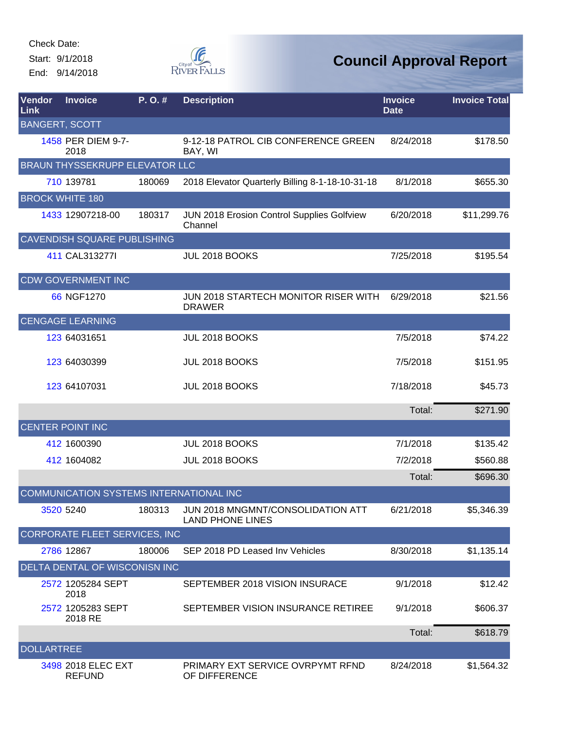Check Date:

Start: 9/1/2018 End: 9/14/2018



| Vendor<br>Link    | <b>Invoice</b>                          | P.O.#  | <b>Description</b>                                           | <b>Invoice</b><br><b>Date</b> | <b>Invoice Total</b> |
|-------------------|-----------------------------------------|--------|--------------------------------------------------------------|-------------------------------|----------------------|
|                   | <b>BANGERT, SCOTT</b>                   |        |                                                              |                               |                      |
|                   | 1458 PER DIEM 9-7-<br>2018              |        | 9-12-18 PATROL CIB CONFERENCE GREEN<br>BAY, WI               | 8/24/2018                     | \$178.50             |
|                   | <b>BRAUN THYSSEKRUPP ELEVATOR LLC</b>   |        |                                                              |                               |                      |
|                   | 710 139781                              | 180069 | 2018 Elevator Quarterly Billing 8-1-18-10-31-18              | 8/1/2018                      | \$655.30             |
|                   | <b>BROCK WHITE 180</b>                  |        |                                                              |                               |                      |
|                   | 1433 12907218-00                        | 180317 | JUN 2018 Erosion Control Supplies Golfview<br>Channel        | 6/20/2018                     | \$11,299.76          |
|                   | CAVENDISH SQUARE PUBLISHING             |        |                                                              |                               |                      |
|                   | 411 CAL3132771                          |        | JUL 2018 BOOKS                                               | 7/25/2018                     | \$195.54             |
|                   | <b>CDW GOVERNMENT INC</b>               |        |                                                              |                               |                      |
|                   | 66 NGF1270                              |        | <b>JUN 2018 STARTECH MONITOR RISER WITH</b><br><b>DRAWER</b> | 6/29/2018                     | \$21.56              |
|                   | <b>CENGAGE LEARNING</b>                 |        |                                                              |                               |                      |
|                   | 123 64031651                            |        | JUL 2018 BOOKS                                               | 7/5/2018                      | \$74.22              |
|                   | 123 64030399                            |        | JUL 2018 BOOKS                                               | 7/5/2018                      | \$151.95             |
|                   | 123 64107031                            |        | JUL 2018 BOOKS                                               | 7/18/2018                     | \$45.73              |
|                   |                                         |        |                                                              | Total:                        | \$271.90             |
|                   | <b>CENTER POINT INC</b>                 |        |                                                              |                               |                      |
|                   | 412 1600390                             |        | JUL 2018 BOOKS                                               | 7/1/2018                      | \$135.42             |
|                   | 412 1604082                             |        | JUL 2018 BOOKS                                               | 7/2/2018                      | \$560.88             |
|                   |                                         |        |                                                              | Total:                        | \$696.30             |
|                   | COMMUNICATION SYSTEMS INTERNATIONAL INC |        |                                                              |                               |                      |
|                   | 3520 5240                               | 180313 | JUN 2018 MNGMNT/CONSOLIDATION ATT<br><b>LAND PHONE LINES</b> | 6/21/2018                     | \$5,346.39           |
|                   | CORPORATE FLEET SERVICES, INC           |        |                                                              |                               |                      |
|                   | 2786 12867                              | 180006 | SEP 2018 PD Leased Inv Vehicles                              | 8/30/2018                     | \$1,135.14           |
|                   | DELTA DENTAL OF WISCONISN INC           |        |                                                              |                               |                      |
|                   | 2572 1205284 SEPT<br>2018               |        | SEPTEMBER 2018 VISION INSURACE                               | 9/1/2018                      | \$12.42              |
|                   | 2572 1205283 SEPT<br>2018 RE            |        | SEPTEMBER VISION INSURANCE RETIREE                           | 9/1/2018                      | \$606.37             |
|                   |                                         |        |                                                              | Total:                        | \$618.79             |
| <b>DOLLARTREE</b> |                                         |        |                                                              |                               |                      |
|                   | 3498 2018 ELEC EXT<br><b>REFUND</b>     |        | PRIMARY EXT SERVICE OVRPYMT RFND<br>OF DIFFERENCE            | 8/24/2018                     | \$1,564.32           |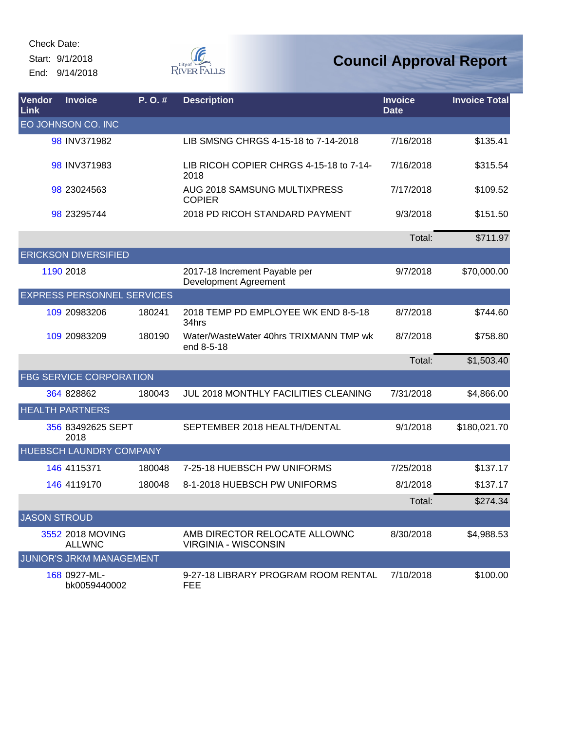Check Date: Start: 9/1/2018 End: 9/14/2018



| Vendor<br>Link      | <b>Invoice</b>                    | P.O.#  | <b>Description</b>                                           | <b>Invoice</b><br><b>Date</b> | <b>Invoice Total</b> |
|---------------------|-----------------------------------|--------|--------------------------------------------------------------|-------------------------------|----------------------|
|                     | EO JOHNSON CO. INC                |        |                                                              |                               |                      |
|                     | 98 INV371982                      |        | LIB SMSNG CHRGS 4-15-18 to 7-14-2018                         | 7/16/2018                     | \$135.41             |
|                     | 98 INV371983                      |        | LIB RICOH COPIER CHRGS 4-15-18 to 7-14-<br>2018              | 7/16/2018                     | \$315.54             |
|                     | 98 23024563                       |        | <b>AUG 2018 SAMSUNG MULTIXPRESS</b><br><b>COPIER</b>         | 7/17/2018                     | \$109.52             |
|                     | 98 23295744                       |        | 2018 PD RICOH STANDARD PAYMENT                               | 9/3/2018                      | \$151.50             |
|                     |                                   |        |                                                              | Total:                        | \$711.97             |
|                     | <b>ERICKSON DIVERSIFIED</b>       |        |                                                              |                               |                      |
|                     | 1190 2018                         |        | 2017-18 Increment Payable per<br>Development Agreement       | 9/7/2018                      | \$70,000.00          |
|                     | <b>EXPRESS PERSONNEL SERVICES</b> |        |                                                              |                               |                      |
|                     | 109 20983206                      | 180241 | 2018 TEMP PD EMPLOYEE WK END 8-5-18<br>34hrs                 | 8/7/2018                      | \$744.60             |
|                     | 109 20983209                      | 180190 | Water/WasteWater 40hrs TRIXMANN TMP wk<br>end 8-5-18         | 8/7/2018                      | \$758.80             |
|                     |                                   |        |                                                              | Total:                        | \$1,503.40           |
|                     | FBG SERVICE CORPORATION           |        |                                                              |                               |                      |
|                     | 364 828862                        | 180043 | JUL 2018 MONTHLY FACILITIES CLEANING                         | 7/31/2018                     | \$4,866.00           |
|                     | <b>HEALTH PARTNERS</b>            |        |                                                              |                               |                      |
|                     | 356 83492625 SEPT<br>2018         |        | SEPTEMBER 2018 HEALTH/DENTAL                                 | 9/1/2018                      | \$180,021.70         |
|                     | HUEBSCH LAUNDRY COMPANY           |        |                                                              |                               |                      |
|                     | 146 4115371                       | 180048 | 7-25-18 HUEBSCH PW UNIFORMS                                  | 7/25/2018                     | \$137.17             |
|                     | 146 4119170                       | 180048 | 8-1-2018 HUEBSCH PW UNIFORMS                                 | 8/1/2018                      | \$137.17             |
|                     |                                   |        |                                                              | Total:                        | \$274.34             |
| <b>JASON STROUD</b> |                                   |        |                                                              |                               |                      |
|                     | 3552 2018 MOVING<br><b>ALLWNC</b> |        | AMB DIRECTOR RELOCATE ALLOWNC<br><b>VIRGINIA - WISCONSIN</b> | 8/30/2018                     | \$4,988.53           |
|                     | <b>JUNIOR'S JRKM MANAGEMENT</b>   |        |                                                              |                               |                      |
|                     | 168 0927-ML-<br>bk0059440002      |        | 9-27-18 LIBRARY PROGRAM ROOM RENTAL<br><b>FEE</b>            | 7/10/2018                     | \$100.00             |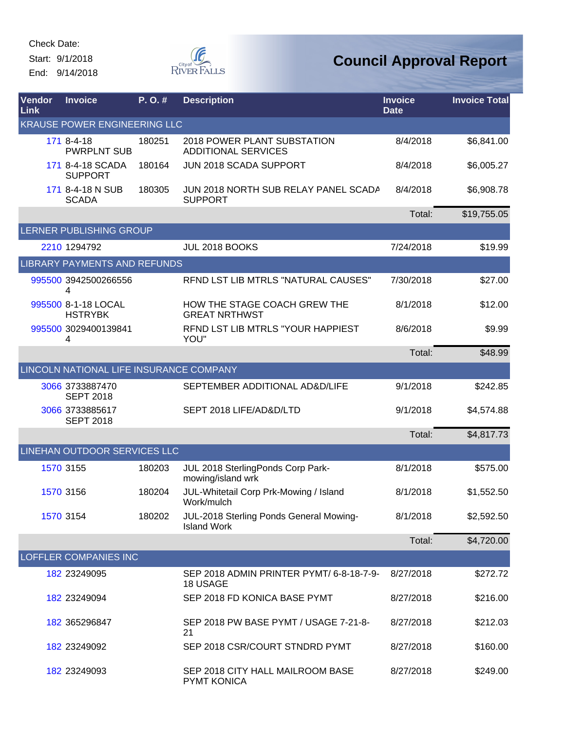Start: 9/1/2018 End: 9/14/2018



| Vendor<br>Link                      | <b>Invoice</b>                          | P. O. # | <b>Description</b>                                            | <b>Invoice</b><br><b>Date</b> | <b>Invoice Total</b> |  |  |
|-------------------------------------|-----------------------------------------|---------|---------------------------------------------------------------|-------------------------------|----------------------|--|--|
| <b>KRAUSE POWER ENGINEERING LLC</b> |                                         |         |                                                               |                               |                      |  |  |
|                                     | 171 8-4-18<br><b>PWRPLNT SUB</b>        | 180251  | 2018 POWER PLANT SUBSTATION<br><b>ADDITIONAL SERVICES</b>     | 8/4/2018                      | \$6,841.00           |  |  |
|                                     | 171 8-4-18 SCADA<br><b>SUPPORT</b>      | 180164  | JUN 2018 SCADA SUPPORT                                        | 8/4/2018                      | \$6,005.27           |  |  |
|                                     | 171 8-4-18 N SUB<br><b>SCADA</b>        | 180305  | JUN 2018 NORTH SUB RELAY PANEL SCADA<br><b>SUPPORT</b>        | 8/4/2018                      | \$6,908.78           |  |  |
|                                     |                                         |         |                                                               | Total:                        | \$19,755.05          |  |  |
|                                     | LERNER PUBLISHING GROUP                 |         |                                                               |                               |                      |  |  |
|                                     | 2210 1294792                            |         | JUL 2018 BOOKS                                                | 7/24/2018                     | \$19.99              |  |  |
|                                     | <b>LIBRARY PAYMENTS AND REFUNDS</b>     |         |                                                               |                               |                      |  |  |
|                                     | 995500 3942500266556<br>4               |         | REND LST LIB MTRLS "NATURAL CAUSES"                           | 7/30/2018                     | \$27.00              |  |  |
|                                     | 995500 8-1-18 LOCAL<br><b>HSTRYBK</b>   |         | HOW THE STAGE COACH GREW THE<br><b>GREAT NRTHWST</b>          | 8/1/2018                      | \$12.00              |  |  |
|                                     | 995500 3029400139841<br>4               |         | RFND LST LIB MTRLS "YOUR HAPPIEST<br>YOU"                     | 8/6/2018                      | \$9.99               |  |  |
|                                     |                                         |         |                                                               | Total:                        | \$48.99              |  |  |
|                                     | LINCOLN NATIONAL LIFE INSURANCE COMPANY |         |                                                               |                               |                      |  |  |
|                                     | 3066 3733887470<br><b>SEPT 2018</b>     |         | SEPTEMBER ADDITIONAL AD&D/LIFE                                | 9/1/2018                      | \$242.85             |  |  |
|                                     | 3066 3733885617<br><b>SEPT 2018</b>     |         | SEPT 2018 LIFE/AD&D/LTD                                       | 9/1/2018                      | \$4,574.88           |  |  |
|                                     |                                         |         |                                                               | Total:                        | \$4,817.73           |  |  |
|                                     | <b>LINEHAN OUTDOOR SERVICES LLC</b>     |         |                                                               |                               |                      |  |  |
|                                     | 1570 3155                               | 180203  | JUL 2018 SterlingPonds Corp Park-<br>mowing/island wrk        | 8/1/2018                      | \$575.00             |  |  |
|                                     | 1570 3156                               | 180204  | JUL-Whitetail Corp Prk-Mowing / Island<br>Work/mulch          | 8/1/2018                      | \$1,552.50           |  |  |
|                                     | 1570 3154                               | 180202  | JUL-2018 Sterling Ponds General Mowing-<br><b>Island Work</b> | 8/1/2018                      | \$2,592.50           |  |  |
|                                     |                                         |         |                                                               | Total:                        | \$4,720.00           |  |  |
|                                     | LOFFLER COMPANIES INC                   |         |                                                               |                               |                      |  |  |
|                                     | 182 23249095                            |         | SEP 2018 ADMIN PRINTER PYMT/ 6-8-18-7-9-<br>18 USAGE          | 8/27/2018                     | \$272.72             |  |  |
|                                     | 182 23249094                            |         | SEP 2018 FD KONICA BASE PYMT                                  | 8/27/2018                     | \$216.00             |  |  |
|                                     | 182 365296847                           |         | SEP 2018 PW BASE PYMT / USAGE 7-21-8-<br>21                   | 8/27/2018                     | \$212.03             |  |  |
|                                     | 182 23249092                            |         | SEP 2018 CSR/COURT STNDRD PYMT                                | 8/27/2018                     | \$160.00             |  |  |
|                                     | 182 23249093                            |         | SEP 2018 CITY HALL MAILROOM BASE<br><b>PYMT KONICA</b>        | 8/27/2018                     | \$249.00             |  |  |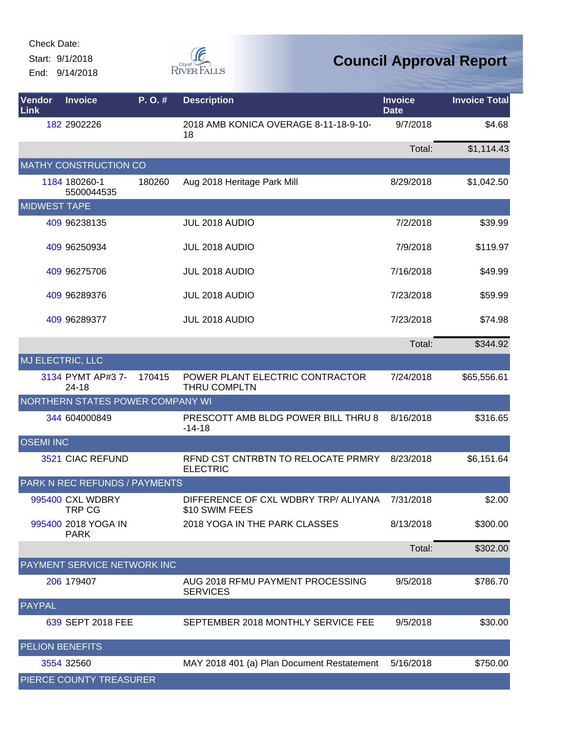Check Date:

Start: 9/1/2018 End: 9/14/2018



| Vendor<br>Link         | <b>Invoice</b>                          | P.O.#  | <b>Description</b>                                     | <b>Invoice</b><br><b>Date</b> | <b>Invoice Total</b> |
|------------------------|-----------------------------------------|--------|--------------------------------------------------------|-------------------------------|----------------------|
|                        | 182 2902226                             |        | 2018 AMB KONICA OVERAGE 8-11-18-9-10-<br>18            | 9/7/2018                      | \$4.68               |
|                        |                                         |        |                                                        | Total:                        | \$1,114.43           |
|                        | <b>MATHY CONSTRUCTION CO</b>            |        |                                                        |                               |                      |
|                        | 1184 180260-1<br>5500044535             | 180260 | Aug 2018 Heritage Park Mill                            | 8/29/2018                     | \$1,042.50           |
| <b>MIDWEST TAPE</b>    |                                         |        |                                                        |                               |                      |
|                        | 409 96238135                            |        | JUL 2018 AUDIO                                         | 7/2/2018                      | \$39.99              |
|                        | 409 96250934                            |        | <b>JUL 2018 AUDIO</b>                                  | 7/9/2018                      | \$119.97             |
|                        | 409 96275706                            |        | JUL 2018 AUDIO                                         | 7/16/2018                     | \$49.99              |
|                        | 409 96289376                            |        | JUL 2018 AUDIO                                         | 7/23/2018                     | \$59.99              |
|                        | 409 96289377                            |        | JUL 2018 AUDIO                                         | 7/23/2018                     | \$74.98              |
|                        |                                         |        |                                                        | Total:                        | \$344.92             |
|                        | MJ ELECTRIC, LLC                        |        |                                                        |                               |                      |
|                        | 3134 PYMT AP#3 7-<br>24-18              | 170415 | POWER PLANT ELECTRIC CONTRACTOR<br>THRU COMPLTN        | 7/24/2018                     | \$65,556.61          |
|                        | <b>NORTHERN STATES POWER COMPANY WI</b> |        |                                                        |                               |                      |
|                        | 344 604000849                           |        | PRESCOTT AMB BLDG POWER BILL THRU 8<br>$-14-18$        | 8/16/2018                     | \$316.65             |
| <b>OSEMI INC</b>       |                                         |        |                                                        |                               |                      |
|                        | 3521 CIAC REFUND                        |        | RFND CST CNTRBTN TO RELOCATE PRMRY<br><b>ELECTRIC</b>  | 8/23/2018                     | \$6,151.64           |
|                        | PARK N REC REFUNDS / PAYMENTS           |        |                                                        |                               |                      |
|                        | 995400 CXL WDBRY<br><b>TRP CG</b>       |        | DIFFERENCE OF CXL WDBRY TRP/ ALIYANA<br>\$10 SWIM FEES | 7/31/2018                     | \$2.00               |
|                        | 995400 2018 YOGA IN<br><b>PARK</b>      |        | 2018 YOGA IN THE PARK CLASSES                          | 8/13/2018                     | \$300.00             |
|                        |                                         |        |                                                        | Total:                        | \$302.00             |
|                        | PAYMENT SERVICE NETWORK INC             |        |                                                        |                               |                      |
|                        | 206 179407                              |        | AUG 2018 RFMU PAYMENT PROCESSING<br><b>SERVICES</b>    | 9/5/2018                      | \$786.70             |
| <b>PAYPAL</b>          |                                         |        |                                                        |                               |                      |
|                        | 639 SEPT 2018 FEE                       |        | SEPTEMBER 2018 MONTHLY SERVICE FEE                     | 9/5/2018                      | \$30.00              |
| <b>PELION BENEFITS</b> |                                         |        |                                                        |                               |                      |
|                        | 3554 32560                              |        | MAY 2018 401 (a) Plan Document Restatement             | 5/16/2018                     | \$750.00             |
|                        | PIERCE COUNTY TREASURER                 |        |                                                        |                               |                      |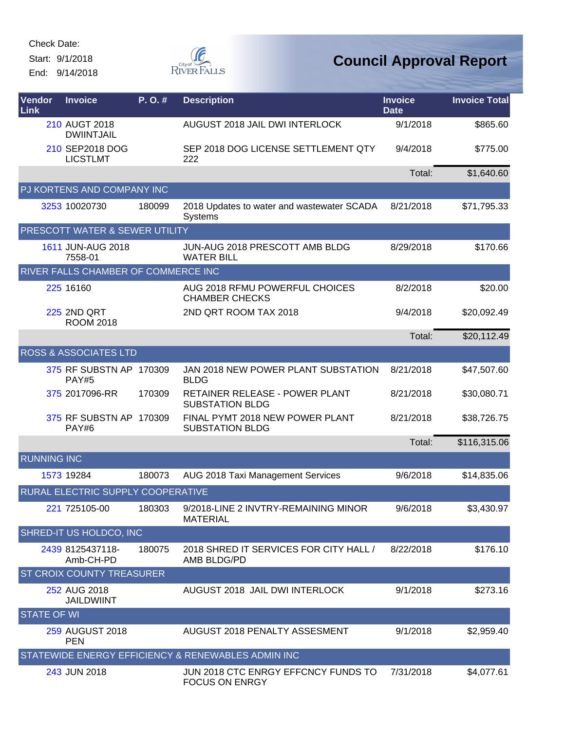Check Date:

Start: 9/1/2018

End: 9/14/2018



| Vendor<br>Link     | <b>Invoice</b>                          | P.O.#  | <b>Description</b>                                           | <b>Invoice</b><br><b>Date</b> | <b>Invoice Total</b> |
|--------------------|-----------------------------------------|--------|--------------------------------------------------------------|-------------------------------|----------------------|
|                    | 210 AUGT 2018<br><b>DWIINTJAIL</b>      |        | AUGUST 2018 JAIL DWI INTERLOCK                               | 9/1/2018                      | \$865.60             |
|                    | 210 SEP2018 DOG<br><b>LICSTLMT</b>      |        | SEP 2018 DOG LICENSE SETTLEMENT QTY<br>222                   | 9/4/2018                      | \$775.00             |
|                    |                                         |        |                                                              | Total:                        | \$1,640.60           |
|                    | PJ KORTENS AND COMPANY INC              |        |                                                              |                               |                      |
|                    | 3253 10020730                           | 180099 | 2018 Updates to water and wastewater SCADA<br>Systems        | 8/21/2018                     | \$71,795.33          |
|                    | PRESCOTT WATER & SEWER UTILITY          |        |                                                              |                               |                      |
|                    | 1611 JUN-AUG 2018<br>7558-01            |        | JUN-AUG 2018 PRESCOTT AMB BLDG<br><b>WATER BILL</b>          | 8/29/2018                     | \$170.66             |
|                    | RIVER FALLS CHAMBER OF COMMERCE INC     |        |                                                              |                               |                      |
|                    | 225 16160                               |        | AUG 2018 RFMU POWERFUL CHOICES<br><b>CHAMBER CHECKS</b>      | 8/2/2018                      | \$20.00              |
|                    | <b>225 2ND QRT</b><br><b>ROOM 2018</b>  |        | 2ND QRT ROOM TAX 2018                                        | 9/4/2018                      | \$20,092.49          |
|                    |                                         |        |                                                              | Total:                        | \$20,112.49          |
|                    | <b>ROSS &amp; ASSOCIATES LTD</b>        |        |                                                              |                               |                      |
|                    | 375 RF SUBSTN AP 170309<br><b>PAY#5</b> |        | JAN 2018 NEW POWER PLANT SUBSTATION<br><b>BLDG</b>           | 8/21/2018                     | \$47,507.60          |
|                    | 375 2017096-RR                          | 170309 | RETAINER RELEASE - POWER PLANT<br><b>SUBSTATION BLDG</b>     | 8/21/2018                     | \$30,080.71          |
|                    | 375 RF SUBSTN AP 170309<br>PAY#6        |        | FINAL PYMT 2018 NEW POWER PLANT<br><b>SUBSTATION BLDG</b>    | 8/21/2018                     | \$38,726.75          |
|                    |                                         |        |                                                              | Total:                        | \$116,315.06         |
| <b>RUNNING INC</b> |                                         |        |                                                              |                               |                      |
|                    | 1573 19284                              | 180073 | AUG 2018 Taxi Management Services                            | 9/6/2018                      | \$14,835.06          |
|                    | RURAL ELECTRIC SUPPLY COOPERATIVE       |        |                                                              |                               |                      |
|                    | 221 725105-00                           | 180303 | 9/2018-LINE 2 INVTRY-REMAINING MINOR<br><b>MATERIAL</b>      | 9/6/2018                      | \$3,430.97           |
|                    | SHRED-IT US HOLDCO, INC                 |        |                                                              |                               |                      |
|                    | 2439 8125437118-<br>Amb-CH-PD           | 180075 | 2018 SHRED IT SERVICES FOR CITY HALL /<br>AMB BLDG/PD        | 8/22/2018                     | \$176.10             |
|                    | <b>ST CROIX COUNTY TREASURER</b>        |        |                                                              |                               |                      |
|                    | 252 AUG 2018<br><b>JAILDWIINT</b>       |        | AUGUST 2018 JAIL DWI INTERLOCK                               | 9/1/2018                      | \$273.16             |
| <b>STATE OF WI</b> |                                         |        |                                                              |                               |                      |
|                    | 259 AUGUST 2018<br><b>PEN</b>           |        | AUGUST 2018 PENALTY ASSESMENT                                | 9/1/2018                      | \$2,959.40           |
|                    |                                         |        | STATEWIDE ENERGY EFFICIENCY & RENEWABLES ADMIN INC           |                               |                      |
|                    | 243 JUN 2018                            |        | JUN 2018 CTC ENRGY EFFCNCY FUNDS TO<br><b>FOCUS ON ENRGY</b> | 7/31/2018                     | \$4,077.61           |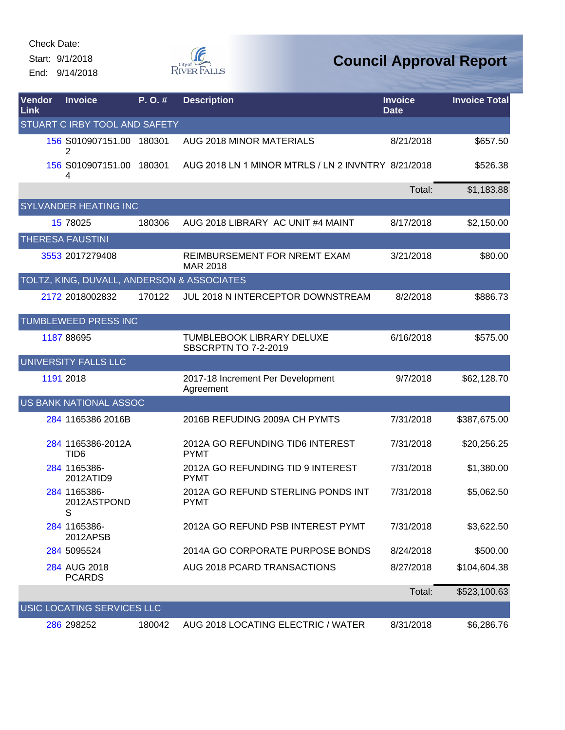End: 9/14/2018



| <b>Vendor</b><br>Link | <b>Invoice</b>                             | P.O.#  | <b>Description</b>                                       | <b>Invoice</b><br><b>Date</b> | <b>Invoice Total</b> |
|-----------------------|--------------------------------------------|--------|----------------------------------------------------------|-------------------------------|----------------------|
|                       | STUART C IRBY TOOL AND SAFETY              |        |                                                          |                               |                      |
|                       | 156 S010907151.00 180301<br>2              |        | AUG 2018 MINOR MATERIALS                                 | 8/21/2018                     | \$657.50             |
|                       | 156 S010907151.00 180301<br>4              |        | AUG 2018 LN 1 MINOR MTRLS / LN 2 INVNTRY 8/21/2018       |                               | \$526.38             |
|                       |                                            |        |                                                          | Total:                        | \$1,183.88           |
|                       | <b>SYLVANDER HEATING INC</b>               |        |                                                          |                               |                      |
|                       | 15 78025                                   | 180306 | AUG 2018 LIBRARY AC UNIT #4 MAINT                        | 8/17/2018                     | \$2,150.00           |
|                       | <b>THERESA FAUSTINI</b>                    |        |                                                          |                               |                      |
|                       | 3553 2017279408                            |        | REIMBURSEMENT FOR NREMT EXAM<br><b>MAR 2018</b>          | 3/21/2018                     | \$80.00              |
|                       | TOLTZ, KING, DUVALL, ANDERSON & ASSOCIATES |        |                                                          |                               |                      |
|                       | 2172 2018002832                            | 170122 | JUL 2018 N INTERCEPTOR DOWNSTREAM                        | 8/2/2018                      | \$886.73             |
|                       | TUMBLEWEED PRESS INC                       |        |                                                          |                               |                      |
|                       | 1187 88695                                 |        | TUMBLEBOOK LIBRARY DELUXE<br><b>SBSCRPTN TO 7-2-2019</b> | 6/16/2018                     | \$575.00             |
|                       | UNIVERSITY FALLS LLC                       |        |                                                          |                               |                      |
|                       | 1191 2018                                  |        | 2017-18 Increment Per Development<br>Agreement           | 9/7/2018                      | \$62,128.70          |
|                       | <b>US BANK NATIONAL ASSOC</b>              |        |                                                          |                               |                      |
|                       | 284 1165386 2016B                          |        | 2016B REFUDING 2009A CH PYMTS                            | 7/31/2018                     | \$387,675.00         |
|                       | 284 1165386-2012A<br>TID <sub>6</sub>      |        | 2012A GO REFUNDING TID6 INTEREST<br><b>PYMT</b>          | 7/31/2018                     | \$20,256.25          |
|                       | 284 1165386-<br>2012ATID9                  |        | 2012A GO REFUNDING TID 9 INTEREST<br><b>PYMT</b>         | 7/31/2018                     | \$1,380.00           |
|                       | 284 1165386-<br>2012ASTPOND<br>S           |        | 2012A GO REFUND STERLING PONDS INT<br><b>PYMT</b>        | 7/31/2018                     | \$5,062.50           |
|                       | 284 1165386-<br>2012APSB                   |        | 2012A GO REFUND PSB INTEREST PYMT                        | 7/31/2018                     | \$3,622.50           |
|                       | 284 5095524                                |        | 2014A GO CORPORATE PURPOSE BONDS                         | 8/24/2018                     | \$500.00             |
|                       | 284 AUG 2018<br><b>PCARDS</b>              |        | AUG 2018 PCARD TRANSACTIONS                              | 8/27/2018                     | \$104,604.38         |
|                       |                                            |        |                                                          | Total:                        | \$523,100.63         |
|                       | USIC LOCATING SERVICES LLC                 |        |                                                          |                               |                      |
|                       | 286 298252                                 | 180042 | AUG 2018 LOCATING ELECTRIC / WATER                       | 8/31/2018                     | \$6,286.76           |